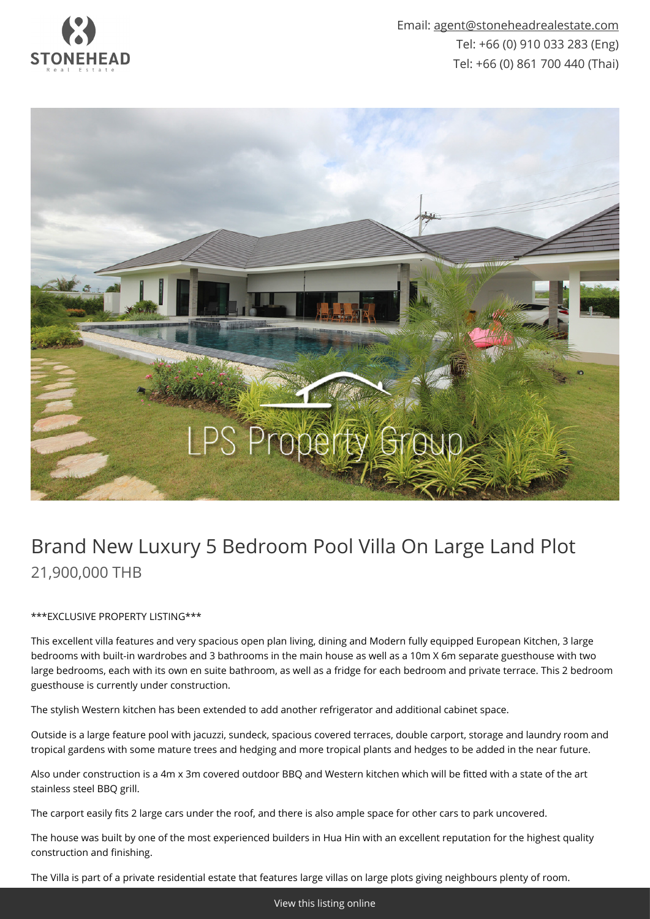

Email: [agent@stoneheadrealestate.com](mailto:agent@stoneheadrealestate.com) Tel: +66 (0) 910 033 283 (Eng) Tel: +66 (0) 861 700 440 (Thai)



## Brand New Luxury 5 Bedroom Pool Villa On Large Land Plot 21,900,000 THB

## \*\*\*EXCLUSIVE PROPERTY LISTING\*\*\*

This excellent villa features and very spacious open plan living, dining and Modern fully equipped European Kitchen, 3 large bedrooms with built-in wardrobes and 3 bathrooms in the main house as well as a 10m X 6m separate guesthouse with two large bedrooms, each with its own en suite bathroom, as well as a fridge for each bedroom and private terrace. This 2 bedroom guesthouse is currently under construction.

The stylish Western kitchen has been extended to add another refrigerator and additional cabinet space.

Outside is a large feature pool with jacuzzi, sundeck, spacious covered terraces, double carport, storage and laundry room and tropical gardens with some mature trees and hedging and more tropical plants and hedges to be added in the near future.

Also under construction is a 4m x 3m covered outdoor BBQ and Western kitchen which will be fitted with a state of the art stainless steel BBQ grill.

The carport easily fits 2 large cars under the roof, and there is also ample space for other cars to park uncovered.

The house was built by one of the most experienced builders in Hua Hin with an excellent reputation for the highest quality construction and finishing.

The Villa is part of a private residential estate that features large villas on large plots giving neighbours plenty of room.

[View this listing online](https://www.stoneheadrealestate.com/properties/brand-new-luxury-5-bedroom-pool-villa-on-large-land-plot/)